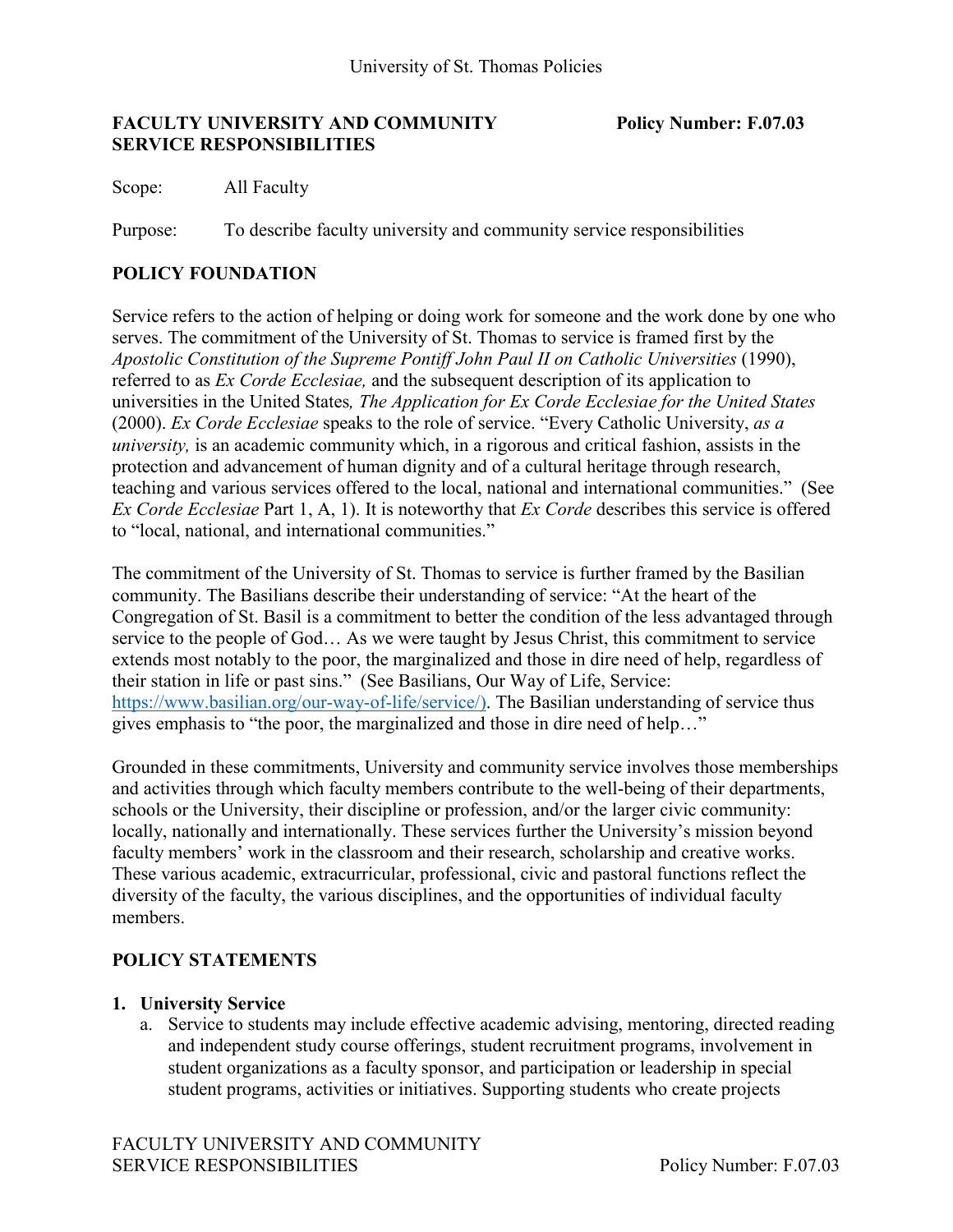#### **FACULTY UNIVERSITY AND COMMUNITY Policy Number: F.07.03 SERVICE RESPONSIBILITIES**

Scope: All Faculty

Purpose: To describe faculty university and community service responsibilities

## **POLICY FOUNDATION**

Service refers to the action of helping or doing work for someone and the work done by one who serves. The commitment of the University of St. Thomas to service is framed first by the *Apostolic Constitution of the Supreme Pontiff John Paul II on Catholic Universities* (1990), referred to as *Ex Corde Ecclesiae,* and the subsequent description of its application to universities in the United States*, The Application for Ex Corde Ecclesiae for the United States* (2000). *Ex Corde Ecclesiae* speaks to the role of service. "Every Catholic University, *as a university,* is an academic community which, in a rigorous and critical fashion, assists in the protection and advancement of human dignity and of a cultural heritage through research, teaching and various services offered to the local, national and international communities." (See *Ex Corde Ecclesiae* Part 1, A, 1). It is noteworthy that *Ex Corde* describes this service is offered to "local, national, and international communities."

The commitment of the University of St. Thomas to service is further framed by the Basilian community. The Basilians describe their understanding of service: "At the heart of the Congregation of St. Basil is a commitment to better the condition of the less advantaged through service to the people of God… As we were taught by Jesus Christ, this commitment to service extends most notably to the poor, the marginalized and those in dire need of help, regardless of their station in life or past sins." (See Basilians, Our Way of Life, Service: [https://www.basilian.org/our-way-of-life/service/\).](https://www.basilian.org/our-way-of-life/service/)) The Basilian understanding of service thus gives emphasis to "the poor, the marginalized and those in dire need of help…"

Grounded in these commitments, University and community service involves those memberships and activities through which faculty members contribute to the well-being of their departments, schools or the University, their discipline or profession, and/or the larger civic community: locally, nationally and internationally. These services further the University's mission beyond faculty members' work in the classroom and their research, scholarship and creative works. These various academic, extracurricular, professional, civic and pastoral functions reflect the diversity of the faculty, the various disciplines, and the opportunities of individual faculty members.

## **POLICY STATEMENTS**

## **1. University Service**

a. Service to students may include effective academic advising, mentoring, directed reading and independent study course offerings, student recruitment programs, involvement in student organizations as a faculty sponsor, and participation or leadership in special student programs, activities or initiatives. Supporting students who create projects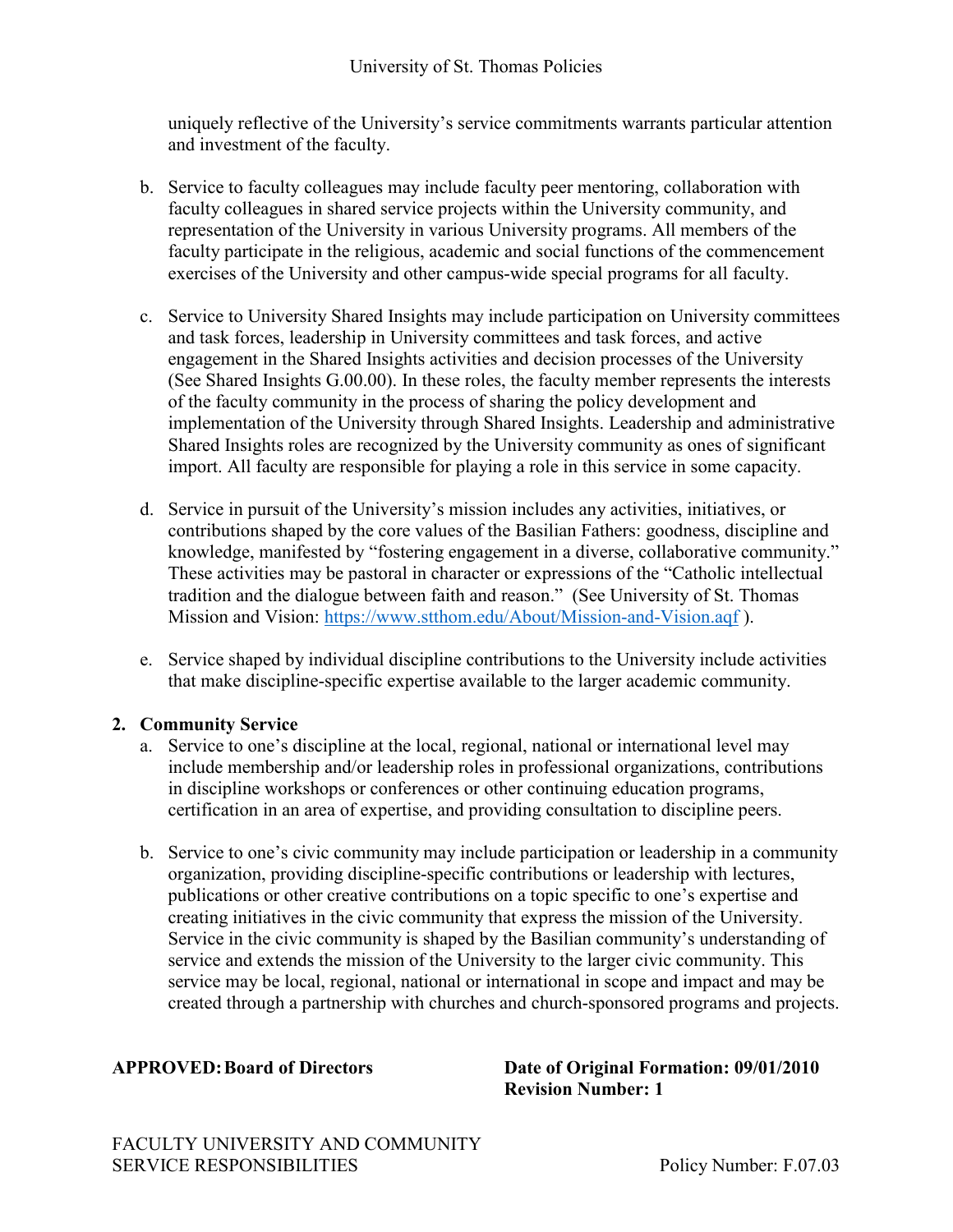uniquely reflective of the University's service commitments warrants particular attention and investment of the faculty.

- b. Service to faculty colleagues may include faculty peer mentoring, collaboration with faculty colleagues in shared service projects within the University community, and representation of the University in various University programs. All members of the faculty participate in the religious, academic and social functions of the commencement exercises of the University and other campus-wide special programs for all faculty.
- c. Service to University Shared Insights may include participation on University committees and task forces, leadership in University committees and task forces, and active engagement in the Shared Insights activities and decision processes of the University (See Shared Insights G.00.00). In these roles, the faculty member represents the interests of the faculty community in the process of sharing the policy development and implementation of the University through Shared Insights. Leadership and administrative Shared Insights roles are recognized by the University community as ones of significant import. All faculty are responsible for playing a role in this service in some capacity.
- d. Service in pursuit of the University's mission includes any activities, initiatives, or contributions shaped by the core values of the Basilian Fathers: goodness, discipline and knowledge, manifested by "fostering engagement in a diverse, collaborative community." These activities may be pastoral in character or expressions of the "Catholic intellectual tradition and the dialogue between faith and reason." (See University of St. Thomas Mission and Vision:<https://www.stthom.edu/About/Mission-and-Vision.aqf> ).
- e. Service shaped by individual discipline contributions to the University include activities that make discipline-specific expertise available to the larger academic community.

# **2. Community Service**

- a. Service to one's discipline at the local, regional, national or international level may include membership and/or leadership roles in professional organizations, contributions in discipline workshops or conferences or other continuing education programs, certification in an area of expertise, and providing consultation to discipline peers.
- b. Service to one's civic community may include participation or leadership in a community organization, providing discipline-specific contributions or leadership with lectures, publications or other creative contributions on a topic specific to one's expertise and creating initiatives in the civic community that express the mission of the University. Service in the civic community is shaped by the Basilian community's understanding of service and extends the mission of the University to the larger civic community. This service may be local, regional, national or international in scope and impact and may be created through a partnership with churches and church-sponsored programs and projects.

**APPROVED:Board of Directors Date of Original Formation: 09/01/2010 Revision Number: 1**